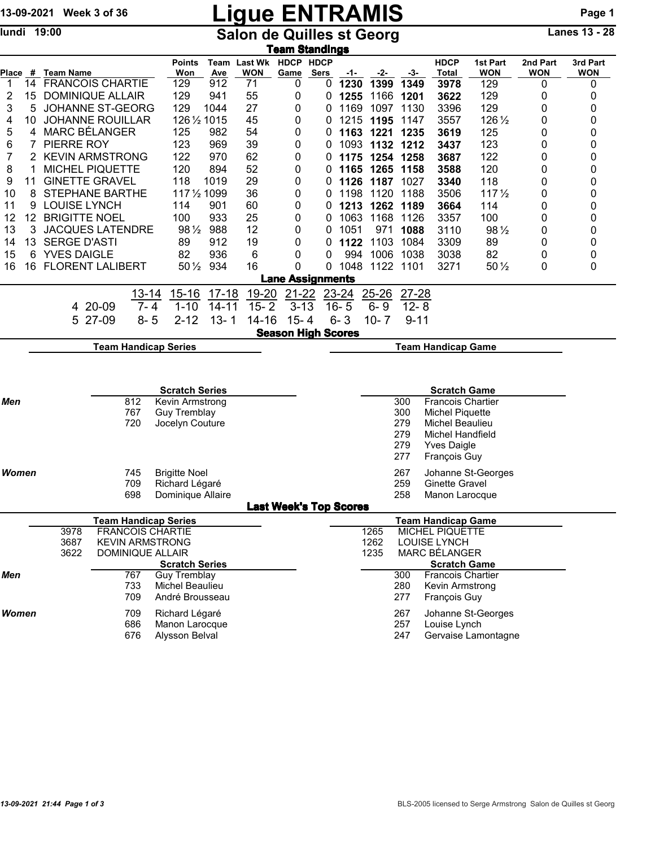# 13-09-2021 Week 3 of 36 **Ligue ENTRAMIS** Page 1

lundi 19:00 **Salon de Quilles st Georg** Lanes 13 - 28

| <u>Team Standings</u> |                                                                                       |                                                           |                 |                             |                                  |              |                              |                   |                               |                               |                                      |          |                           |                        |                        |                        |  |
|-----------------------|---------------------------------------------------------------------------------------|-----------------------------------------------------------|-----------------|-----------------------------|----------------------------------|--------------|------------------------------|-------------------|-------------------------------|-------------------------------|--------------------------------------|----------|---------------------------|------------------------|------------------------|------------------------|--|
| Place                 |                                                                                       | # Team Name                                               |                 |                             | <b>Points</b><br>Won             | Team<br>Ave  | <b>Last Wk</b><br><b>WON</b> | HDCP HDCP<br>Game | <b>Sers</b>                   | $-1-$                         | -2-                                  | -3-      | <b>HDCP</b><br>Total      | 1st Part<br><b>WON</b> | 2nd Part<br><b>WON</b> | 3rd Part<br><b>WON</b> |  |
| 1                     | 14                                                                                    | <b>FRANCOIS CHARTIE</b>                                   |                 |                             | 129                              | 912          | 71                           | 0                 | 0                             | 1230                          | 1399                                 | 1349     | 3978                      | 129                    | 0                      | 0                      |  |
| 2                     | 15                                                                                    | <b>DOMINIQUE ALLAIR</b>                                   |                 |                             | 129                              | 941          | 55                           | 0                 | 0                             | 1255                          | 1166                                 | 1201     | 3622                      | 129                    | 0                      | 0                      |  |
| 3                     | 5                                                                                     | JOHANNE ST-GEORG                                          |                 |                             | 129                              | 1044         | 27                           | 0                 | 0                             | 1169                          | 1097                                 | 1130     | 3396                      | 129                    | 0                      | 0                      |  |
| 4                     | 10                                                                                    | <b>JOHANNE ROUILLAR</b>                                   |                 |                             | 126 1/2 1015                     |              | 45                           | 0                 | 0                             | 1215                          | 1195                                 | 1147     | 3557                      | 126 1/2                | 0                      | 0                      |  |
| 5                     | 4                                                                                     | MARC BÉLANGER                                             |                 |                             | 125                              | 982          | 54                           | 0                 | 0                             |                               | 1163 1221                            | 1235     | 3619                      | 125                    | 0                      | 0                      |  |
| 6                     |                                                                                       | PIERRE ROY                                                |                 |                             | 123                              | 969          | 39                           | 0                 | 0                             |                               | 1093 1132 1212                       |          | 3437                      | 123                    | 0                      | 0                      |  |
| 7                     | 2                                                                                     | <b>KEVIN ARMSTRONG</b>                                    |                 |                             | 122                              | 970          | 62                           | 0                 | 0                             | 1175                          | 1254 1258                            |          | 3687                      | 122                    | 0                      | 0                      |  |
| 8                     |                                                                                       | <b>MICHEL PIQUETTE</b>                                    |                 |                             | 120                              | 894          | 52                           | 0                 | O                             |                               | 1165 1265 1158                       |          | 3588                      | 120                    | 0                      | 0                      |  |
| 9                     | 11                                                                                    | <b>GINETTE GRAVEL</b>                                     |                 |                             | 118                              | 1019         | 29                           | 0                 | O                             | 1126                          | 1187 1027                            |          | 3340                      | 118                    | 0                      | 0                      |  |
| 10                    | 8                                                                                     | <b>STEPHANE BARTHE</b>                                    |                 |                             | 117 1/2 1099                     |              | 36                           | 0                 | 0                             | 1198                          | 1120                                 | 1188     | 3506                      | 117 <sub>2</sub>       | 0                      | 0                      |  |
| 11                    | 9                                                                                     | <b>LOUISE LYNCH</b>                                       |                 |                             | 114                              | 901          | 60                           | 0                 | 0                             | 1213                          | 1262                                 | 1189     | 3664                      | 114                    | 0                      | 0                      |  |
| 12                    | 12                                                                                    | <b>BRIGITTE NOEL</b>                                      |                 |                             | 100                              | 933          | 25                           | 0                 | 0                             | 1063                          | 1168                                 | 1126     | 3357                      | 100                    | 0                      | 0                      |  |
| 13                    | 3                                                                                     | <b>JACQUES LATENDRE</b>                                   |                 |                             | 981/2 988                        |              | 12                           | 0                 | 0                             | 1051                          | 971                                  | 1088     | 3110                      | 98 1/2                 | 0                      | 0                      |  |
| 14                    | 13                                                                                    | <b>SERGE D'ASTI</b>                                       |                 |                             | 89                               | 912          | 19                           | 0                 | 0                             | 1122                          | 1103                                 | 1084     | 3309                      | 89                     | 0                      | 0                      |  |
| 15                    | 6                                                                                     | <b>YVES DAIGLE</b>                                        |                 |                             | 82                               | 936          | 6                            | 0                 | 0                             | 994                           | 1006                                 | 1038     | 3038                      | 82                     | 0                      | 0                      |  |
| 16                    | 16                                                                                    | <b>FLORENT LALIBERT</b>                                   |                 |                             | $50\,\frac{1}{2}$                | 934          | 16                           | 0                 | 0                             | 1048                          | 1122 1101                            |          | 3271                      | $50\,\frac{1}{2}$      | 0                      | 0                      |  |
|                       |                                                                                       |                                                           |                 |                             |                                  |              |                              |                   | <b>Lane Assignments</b>       |                               |                                      |          |                           |                        |                        |                        |  |
|                       |                                                                                       |                                                           |                 | $13 - 14$                   | $15 - 16$                        | $17-18$      | 19-20                        | $21 - 22$         |                               | 23-24                         | 25-26                                | 27-28    |                           |                        |                        |                        |  |
|                       |                                                                                       |                                                           | 4 20-09         | $7 - 4$                     | $1 - 10$                         | $14 - 11$    | $15 - 2$                     | $3 - 13$          |                               | $16 - 5$                      | $6 - 9$                              | $12 - 8$ |                           |                        |                        |                        |  |
|                       |                                                                                       |                                                           | 5 27-09         | $8 - 5$                     | $2 - 12$                         | $13 - 1$     | $14 - 16$                    | $15 - 4$          |                               | $6 - 3$                       | $10 - 7$                             | $9 - 11$ |                           |                        |                        |                        |  |
|                       |                                                                                       |                                                           |                 |                             |                                  |              |                              |                   |                               |                               |                                      |          |                           |                        |                        |                        |  |
|                       | <b>Season High Scores</b><br><b>Team Handicap Series</b><br><b>Team Handicap Game</b> |                                                           |                 |                             |                                  |              |                              |                   |                               |                               |                                      |          |                           |                        |                        |                        |  |
|                       |                                                                                       | <b>Scratch Series</b><br><b>Scratch Game</b>              |                 |                             |                                  |              |                              |                   |                               |                               |                                      |          |                           |                        |                        |                        |  |
| Men                   |                                                                                       |                                                           | Kevin Armstrong |                             |                                  |              |                              |                   | 300                           |                               |                                      |          |                           |                        |                        |                        |  |
|                       |                                                                                       | 812<br>767                                                |                 |                             |                                  | Guy Tremblay |                              |                   |                               | 300<br><b>Michel Piquette</b> |                                      |          |                           |                        |                        |                        |  |
|                       |                                                                                       |                                                           |                 | 720                         | Jocelyn Couture                  |              |                              |                   |                               |                               |                                      | 279      | Michel Beaulieu           |                        |                        |                        |  |
|                       |                                                                                       |                                                           |                 |                             |                                  |              |                              |                   |                               |                               |                                      | 279      | <b>Michel Handfield</b>   |                        |                        |                        |  |
|                       |                                                                                       |                                                           |                 |                             |                                  |              |                              |                   |                               |                               |                                      | 279      | Yves Daigle               |                        |                        |                        |  |
|                       |                                                                                       |                                                           |                 |                             |                                  |              |                              |                   |                               |                               |                                      | 277      | François Guy              |                        |                        |                        |  |
| <b>Women</b>          |                                                                                       |                                                           |                 | 745                         | <b>Brigitte Noel</b>             |              |                              |                   |                               |                               |                                      | 267      |                           | Johanne St-Georges     |                        |                        |  |
|                       |                                                                                       |                                                           |                 | 709                         | Richard Légaré                   |              |                              |                   |                               |                               |                                      | 259      | Ginette Gravel            |                        |                        |                        |  |
|                       |                                                                                       |                                                           |                 | 698                         | Dominique Allaire                |              |                              |                   |                               |                               |                                      | 258      | Manon Larocque            |                        |                        |                        |  |
|                       |                                                                                       |                                                           |                 |                             |                                  |              |                              |                   | <b>Last Week's Top Scores</b> |                               |                                      |          |                           |                        |                        |                        |  |
|                       |                                                                                       |                                                           |                 | <b>Team Handicap Series</b> |                                  |              |                              |                   |                               |                               |                                      |          | <b>Team Handicap Game</b> |                        |                        |                        |  |
|                       |                                                                                       | <b>FRANCOIS CHARTIE</b><br>3978<br><b>KEVIN ARMSTRONG</b> |                 |                             |                                  |              |                              |                   |                               |                               | 1265                                 |          | <b>MICHEL PIQUETTE</b>    |                        |                        |                        |  |
|                       |                                                                                       | 3687                                                      |                 |                             |                                  |              |                              |                   | 1262                          |                               | <b>LOUISE LYNCH</b><br>MARC BÉLANGER |          |                           |                        |                        |                        |  |
|                       |                                                                                       | 3622                                                      |                 | DOMINIQUE ALLAIR            | <b>Scratch Series</b>            |              |                              |                   |                               |                               | 1235                                 |          | <b>Scratch Game</b>       |                        |                        |                        |  |
| Men                   |                                                                                       |                                                           |                 | 767                         | <b>Guy Tremblay</b>              |              |                              |                   |                               |                               |                                      | 300      | Francois Chartier         |                        |                        |                        |  |
|                       |                                                                                       |                                                           |                 | 733                         | Michel Beaulieu                  |              |                              |                   |                               |                               |                                      | 280      | Kevin Armstrong           |                        |                        |                        |  |
|                       |                                                                                       |                                                           |                 | 709                         | André Brousseau                  |              |                              |                   |                               |                               |                                      | 277      | François Guy              |                        |                        |                        |  |
| <b>Women</b>          |                                                                                       |                                                           |                 | 709                         |                                  |              |                              |                   |                               |                               |                                      | 267      |                           |                        |                        |                        |  |
|                       |                                                                                       |                                                           |                 | 686                         | Richard Légaré<br>Manon Larocque |              |                              |                   |                               |                               |                                      | 257      | Louise Lynch              | Johanne St-Georges     |                        |                        |  |

676 Alysson Belval 247 Gervaise Lamontagne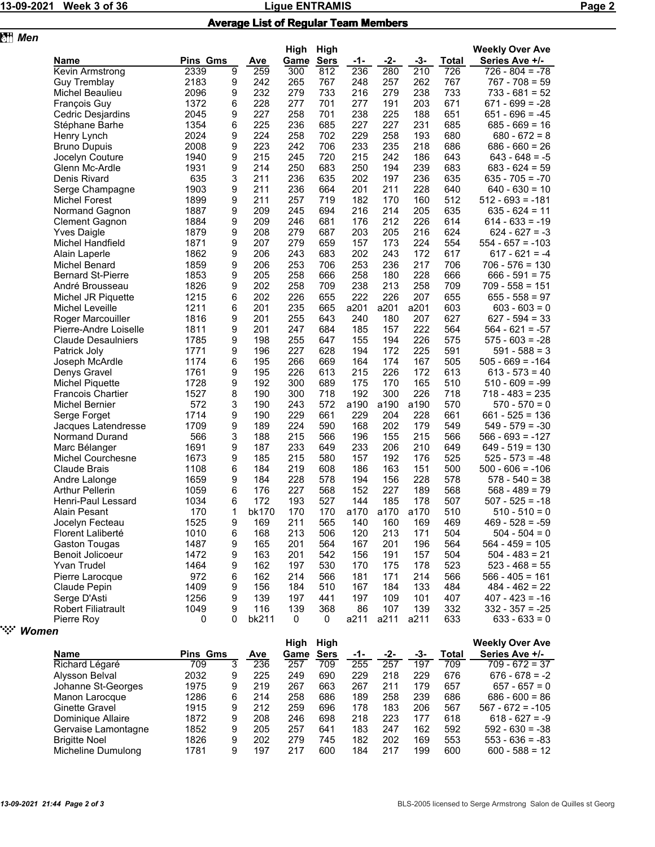## 13-09-2021 Week 3 of 36 **Page 2** Ligue ENTRAMIS **Research 20 Page 2**

### Average List of Regular Team Members

| 图 Men |                           |          |        |            |              |                     |      |       |       |              |                                          |
|-------|---------------------------|----------|--------|------------|--------------|---------------------|------|-------|-------|--------------|------------------------------------------|
|       | Name                      | Pins Gms |        | <b>Ave</b> | High<br>Game | High<br><b>Sers</b> | -1-  | $-2-$ | $-3-$ | <b>Total</b> | <b>Weekly Over Ave</b><br>Series Ave +/- |
|       | Kevin Armstrong           | 2339     | 9      | 259        | 300          | 812                 | 236  | 280   | 210   | 726          | $726 - 804 = -78$                        |
|       | <b>Guy Tremblay</b>       | 2183     | 9      | 242        | 265          | 767                 | 248  | 257   | 262   | 767          | $767 - 708 = 59$                         |
|       | Michel Beaulieu           | 2096     | 9      | 232        | 279          | 733                 | 216  | 279   | 238   | 733          | $733 - 681 = 52$                         |
|       | <b>François Guy</b>       | 1372     | 6      | 228        | 277          | 701                 | 277  | 191   | 203   | 671          | $671 - 699 = -28$                        |
|       | Cedric Desjardins         | 2045     | 9      | 227        | 258          | 701                 | 238  | 225   | 188   | 651          | $651 - 696 = -45$                        |
|       | Stéphane Barhe            | 1354     | 6      | 225        | 236          | 685                 | 227  | 227   | 231   | 685          | $685 - 669 = 16$                         |
|       | Henry Lynch               | 2024     | 9      | 224        | 258          | 702                 | 229  | 258   | 193   | 680          | $680 - 672 = 8$                          |
|       | <b>Bruno Dupuis</b>       | 2008     | 9      | 223        | 242          | 706                 | 233  | 235   | 218   | 686          | $686 - 660 = 26$                         |
|       | Jocelyn Couture           | 1940     | 9      | 215        | 245          | 720                 | 215  | 242   | 186   | 643          | $643 - 648 = -5$                         |
|       | Glenn Mc-Ardle            | 1931     | 9      | 214        | 250          | 683                 | 250  | 194   | 239   | 683          | $683 - 624 = 59$                         |
|       | Denis Rivard              | 635      | 3      | 211        | 236          | 635                 | 202  | 197   | 236   | 635          | $635 - 705 = -70$                        |
|       | Serge Champagne           | 1903     | 9      | 211        | 236          | 664                 | 201  | 211   | 228   | 640          | $640 - 630 = 10$                         |
|       | <b>Michel Forest</b>      | 1899     | 9      | 211        | 257          | 719                 | 182  | 170   | 160   | 512          | $512 - 693 = -181$                       |
|       |                           | 1887     | 9      | 209        | 245          | 694                 | 216  | 214   | 205   | 635          | $635 - 624 = 11$                         |
|       | Normand Gagnon            | 1884     |        | 209        | 246          | 681                 | 176  | 212   | 226   | 614          | $614 - 633 = -19$                        |
|       | <b>Clement Gagnon</b>     | 1879     | 9<br>9 | 208        | 279          | 687                 | 203  | 205   | 216   | 624          | 624 - 627 = -3                           |
|       | <b>Yves Daigle</b>        |          |        |            |              |                     |      |       |       |              |                                          |
|       | Michel Handfield          | 1871     | 9      | 207        | 279          | 659                 | 157  | 173   | 224   | 554          | $554 - 657 = -103$                       |
|       | Alain Laperle             | 1862     | 9      | 206        | 243          | 683                 | 202  | 243   | 172   | 617          | $617 - 621 = -4$                         |
|       | Michel Benard             | 1859     | 9      | 206        | 253          | 706                 | 253  | 236   | 217   | 706          | $706 - 576 = 130$                        |
|       | <b>Bernard St-Pierre</b>  | 1853     | 9      | 205        | 258          | 666                 | 258  | 180   | 228   | 666          | $666 - 591 = 75$                         |
|       | André Brousseau           | 1826     | 9      | 202        | 258          | 709                 | 238  | 213   | 258   | 709          | $709 - 558 = 151$                        |
|       | Michel JR Piquette        | 1215     | 6      | 202        | 226          | 655                 | 222  | 226   | 207   | 655          | $655 - 558 = 97$                         |
|       | Michel Leveille           | 1211     | 6      | 201        | 235          | 665                 | a201 | a201  | a201  | 603          | $603 - 603 = 0$                          |
|       | Roger Marcouiller         | 1816     | 9      | 201        | 255          | 643                 | 240  | 180   | 207   | 627          | $627 - 594 = 33$                         |
|       | Pierre-Andre Loiselle     | 1811     | 9      | 201        | 247          | 684                 | 185  | 157   | 222   | 564          | $564 - 621 = -57$                        |
|       | <b>Claude Desaulniers</b> | 1785     | 9      | 198        | 255          | 647                 | 155  | 194   | 226   | 575          | $575 - 603 = -28$                        |
|       | Patrick Joly              | 1771     | 9      | 196        | 227          | 628                 | 194  | 172   | 225   | 591          | $591 - 588 = 3$                          |
|       | Joseph McArdle            | 1174     | 6      | 195        | 266          | 669                 | 164  | 174   | 167   | 505          | $505 - 669 = -164$                       |
|       | Denys Gravel              | 1761     | 9      | 195        | 226          | 613                 | 215  | 226   | 172   | 613          | $613 - 573 = 40$                         |
|       | <b>Michel Piquette</b>    | 1728     | 9      | 192        | 300          | 689                 | 175  | 170   | 165   | 510          | $510 - 609 = -99$                        |
|       | <b>Francois Chartier</b>  | 1527     | 8      | 190        | 300          | 718                 | 192  | 300   | 226   | 718          | $718 - 483 = 235$                        |
|       | <b>Michel Bernier</b>     | 572      | 3      | 190        | 243          | 572                 | a190 | a190  | a190  | 570          | $570 - 570 = 0$                          |
|       | Serge Forget              | 1714     | 9      | 190        | 229          | 661                 | 229  | 204   | 228   | 661          | $661 - 525 = 136$                        |
|       | Jacques Latendresse       | 1709     | 9      | 189        | 224          | 590                 | 168  | 202   | 179   | 549          | $549 - 579 = -30$                        |
|       | Normand Durand            | 566      | 3      | 188        | 215          | 566                 | 196  | 155   | 215   | 566          | $566 - 693 = -127$                       |
|       | Marc Bélanger             | 1691     | 9      | 187        | 233          | 649                 | 233  | 206   | 210   | 649          | $649 - 519 = 130$                        |
|       | Michel Courchesne         | 1673     | 9      | 185        | 215          | 580                 | 157  | 192   | 176   | 525          | $525 - 573 = -48$                        |
|       | <b>Claude Brais</b>       | 1108     | 6      | 184        | 219          | 608                 | 186  | 163   | 151   | 500          | $500 - 606 = -106$                       |
|       | Andre Lalonge             | 1659     | 9      | 184        | 228          | 578                 | 194  | 156   | 228   | 578          | $578 - 540 = 38$                         |
|       | <b>Arthur Pellerin</b>    | 1059     | 6      | 176        | 227          | 568                 | 152  | 227   | 189   | 568          | $568 - 489 = 79$                         |
|       | Henri-Paul Lessard        | 1034     | 6      | 172        | 193          | 527                 | 144  | 185   | 178   | 507          | $507 - 525 = -18$                        |
|       | Alain Pesant              | 170      | 1      | bk170      | 170          | 170                 | a170 | a170  | a170  | 510          | 510 - 510 = 0                            |
|       | Jocelyn Fecteau           | 1525     | 9      | 169        | 211          | 565                 | 140  | 160   | 169   | 469          | $469 - 528 = -59$                        |
|       | Florent Laliberté         | 1010     | 6      | 168        | 213          | 506                 | 120  | 213   | 171   | 504          | $504 - 504 = 0$                          |
|       | Gaston Tougas             | 1487     | 9      | 165        | 201          | 564                 | 167  | 201   | 196   | 564          | $564 - 459 = 105$                        |
|       | Benoit Jolicoeur          | 1472     | 9      | 163        | 201          | 542                 | 156  | 191   | 157   | 504          | $504 - 483 = 21$                         |
|       | Yvan Trudel               | 1464     | 9      | 162        | 197          | 530                 | 170  | 175   | 178   | 523          | $523 - 468 = 55$                         |
|       | Pierre Larocque           | 972      | 6      | 162        | 214          | 566                 | 181  | 171   | 214   | 566          | $566 - 405 = 161$                        |
|       | Claude Pepin              | 1409     | 9      | 156        | 184          | 510                 | 167  | 184   | 133   | 484          | $484 - 462 = 22$                         |
|       | Serge D'Asti              | 1256     | 9      | 139        | 197          | 441                 | 197  | 109   | 101   | 407          | $407 - 423 = -16$                        |
|       | <b>Robert Filiatrault</b> | 1049     | 9      | 116        | 139          | 368                 | 86   | 107   | 139   | 332          | $332 - 357 = -25$                        |
|       | Pierre Roy                | 0        | 0      | bk211      | 0            | 0                   | a211 | a211  | a211  | 633          | $633 - 633 = 0$                          |

" *Women*

|                      |                 |     |      | High        | High |     |     |       |                | <b>Weekly Over Ave</b> |
|----------------------|-----------------|-----|------|-------------|------|-----|-----|-------|----------------|------------------------|
| <b>Name</b>          | <b>Pins Gms</b> | Ave | Game | <b>Sers</b> | -1-  | -2- | -3- | Total | Series Ave +/- |                        |
| Richard Légaré       | 709             | 3   | 236  | 257         | 709  | 255 | 257 | 197   | 709            | $709 - 672 = 37$       |
| Alysson Belval       | 2032            | 9   | 225  | 249         | 690  | 229 | 218 | 229   | 676            | $676 - 678 = -2$       |
| Johanne St-Georges   | 1975            | 9   | 219  | 267         | 663  | 267 | 211 | 179   | 657            | $657 - 657 = 0$        |
| Manon Larocque       | 1286            | 6   | 214  | 258         | 686  | 189 | 258 | 239   | 686            | $686 - 600 = 86$       |
| Ginette Gravel       | 1915            | 9   | 212  | 259         | 696  | 178 | 183 | 206   | 567            | $567 - 672 = -105$     |
| Dominique Allaire    | 1872            | 9   | 208  | 246         | 698  | 218 | 223 | 177   | 618            | $618 - 627 = -9$       |
| Gervaise Lamontagne  | 1852            | 9   | 205  | 257         | 641  | 183 | 247 | 162   | 592            | $592 - 630 = -38$      |
| <b>Brigitte Noel</b> | 1826            | 9   | 202  | 279         | 745  | 182 | 202 | 169   | 553            | $553 - 636 = -83$      |
| Micheline Dumulong   | 1781            | 9   | 197  | 217         | 600  | 184 | 217 | 199   | 600            | $600 - 588 = 12$       |